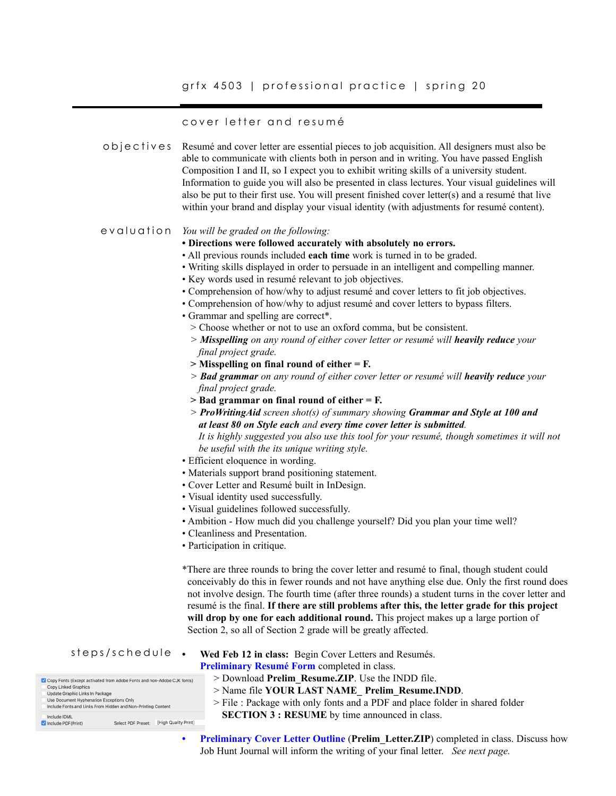# grfx 4503 | professional practice | spring 20

### cover letter and resumé

Resumé and cover letter are essential pieces to job acquisition. All designers must also be able to communicate with clients both in person and in writing. You have passed English Composition I and II, so I expect you to exhibit writing skills of a university student. Information to guide you will also be presented in class lectures. Your visual guidelines will also be put to their first use. You will present finished cover letter(s) and a resumé that live within your brand and display your visual identity (with adjustments for resumé content). objectives

#### *You will be graded on the following:* evaluation

- **Directions were followed accurately with absolutely no errors.**
- All previous rounds included **each time** work is turned in to be graded.
- Writing skills displayed in order to persuade in an intelligent and compelling manner.
- Key words used in resumé relevant to job objectives.
- Comprehension of how/why to adjust resumé and cover letters to fit job objectives.
- Comprehension of how/why to adjust resumé and cover letters to bypass filters.
- Grammar and spelling are correct\*.
	- > Choose whether or not to use an oxford comma, but be consistent.
	- *> Misspelling on any round of either cover letter or resumé will heavily reduce your final project grade.*
	- **> Misspelling on final round of either = F.**
	- *> Bad grammar on any round of either cover letter or resumé will heavily reduce your final project grade.*
	- **> Bad grammar on final round of either = F.**
	- *> ProWritingAid screen shot(s) of summary showing Grammar and Style at 100 and at least 80 on Style each and every time cover letter is submitted. It is highly suggested you also use this tool for your resumé, though sometimes it will not be useful with the its unique writing style.*
- Efficient eloquence in wording.
- Materials support brand positioning statement.
- Cover Letter and Resumé built in InDesign.
- Visual identity used successfully.
- Visual guidelines followed successfully.
- Ambition How much did you challenge yourself? Did you plan your time well?
- Cleanliness and Presentation.
- Participation in critique.

\*There are three rounds to bring the cover letter and resumé to final, though student could conceivably do this in fewer rounds and not have anything else due. Only the first round does not involve design. The fourth time (after three rounds) a student turns in the cover letter and resumé is the final. **If there are still problems after this, the letter grade for this project will drop by one for each additional round.** This project makes up a large portion of Section 2, so all of Section 2 grade will be greatly affected.

#### **• Wed Feb 12 in class:** Begin Cover Letters and Resumés. steps/schedule

#### **Preliminary Resumé Form** completed in class.

|                                          | Copy Fonts (Except activated from Adobe Fonts and non-Adobe CJK fonts) |                      |
|------------------------------------------|------------------------------------------------------------------------|----------------------|
| Copy Linked Graphics                     |                                                                        |                      |
| Update Graphic Links In Package          |                                                                        |                      |
| Use Document Hyphenation Exceptions Only |                                                                        |                      |
|                                          | Include Fonts and Links From Hidden and Non-Printing Content           |                      |
| Include IDML                             |                                                                        |                      |
|                                          | Select PDF Preset:                                                     | [High Quality Print] |

- > Name file **YOUR LAST NAME\_ Prelim\_Resume.INDD**.
- > File : Package with only fonts and a PDF and place folder in shared folder
	- **SECTION 3 : RESUME** by time announced in class.

> Download **Prelim\_Resume.ZIP**. Use the INDD file.

**• Preliminary Cover Letter Outline** (**Prelim\_Letter.ZIP**) completed in class. Discuss how Job Hunt Journal will inform the writing of your final letter. *See next page.*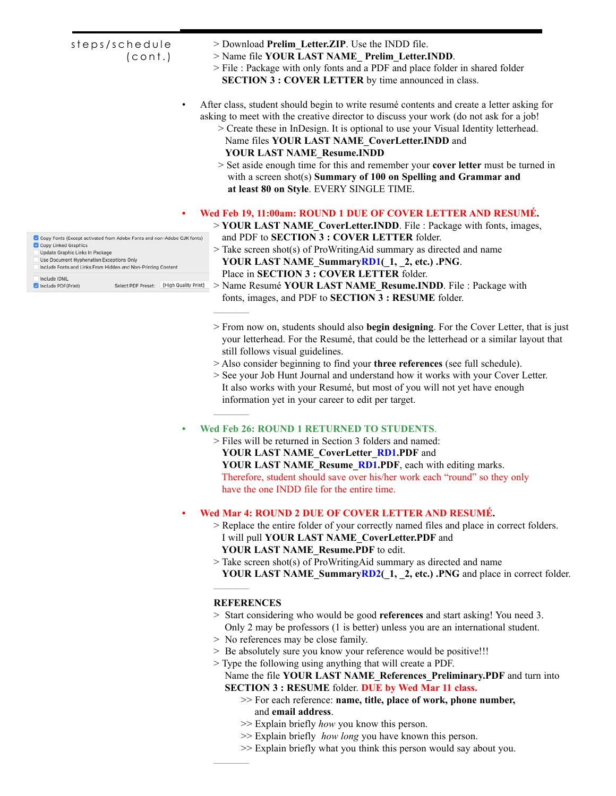| steps/schedule<br>(cont.)                                                                                                                                                                                                                                     | > Download Prelim Letter. ZIP. Use the INDD file.<br>> Name file YOUR LAST NAME Prelim Letter.INDD.<br>> File : Package with only fonts and a PDF and place folder in shared folder<br><b>SECTION 3 : COVER LETTER</b> by time announced in class.                                                                                                                                                                                                                                                                                                                   |
|---------------------------------------------------------------------------------------------------------------------------------------------------------------------------------------------------------------------------------------------------------------|----------------------------------------------------------------------------------------------------------------------------------------------------------------------------------------------------------------------------------------------------------------------------------------------------------------------------------------------------------------------------------------------------------------------------------------------------------------------------------------------------------------------------------------------------------------------|
|                                                                                                                                                                                                                                                               | After class, student should begin to write resumé contents and create a letter asking for<br>asking to meet with the creative director to discuss your work (do not ask for a job!<br>> Create these in InDesign. It is optional to use your Visual Identity letterhead.<br>Name files YOUR LAST NAME CoverLetter.INDD and<br><b>YOUR LAST NAME Resume.INDD</b><br>> Set aside enough time for this and remember your cover letter must be turned in<br>with a screen shot(s) Summary of 100 on Spelling and Grammar and<br>at least 80 on Style. EVERY SINGLE TIME. |
| $\bullet$                                                                                                                                                                                                                                                     | Wed Feb 19, 11:00am: ROUND 1 DUE OF COVER LETTER AND RESUMÉ.<br>> <b>YOUR LAST NAME</b> CoverLetter. <b>INDD</b> . File: Package with fonts, images,                                                                                                                                                                                                                                                                                                                                                                                                                 |
| Copy Fonts (Except activated from Adobe Fonts and non-Adobe CJK fonts)<br>Copy Linked Graphics<br>Update Graphic Links In Package<br>Use Document Hyphenation Exceptions Only<br>Include Fonts and Links From Hidden and Non-Printing Content<br>Include IDML | and PDF to SECTION 3 : COVER LETTER folder.<br>$>$ Take screen shot(s) of ProWritingAid summary as directed and name<br>YOUR LAST NAME SummaryRD1(1, 2, etc.) .PNG.<br>Place in SECTION 3 : COVER LETTER folder.                                                                                                                                                                                                                                                                                                                                                     |
| [High Quality Print]<br>Include PDF (Print)<br>Select PDF Preset:                                                                                                                                                                                             | > Name Resumé YOUR LAST NAME Resume. INDD. File: Package with<br>fonts, images, and PDF to SECTION 3 : RESUME folder.                                                                                                                                                                                                                                                                                                                                                                                                                                                |
|                                                                                                                                                                                                                                                               | > From now on, students should also begin designing. For the Cover Letter, that is just<br>your letterhead. For the Resumé, that could be the letterhead or a similar layout that                                                                                                                                                                                                                                                                                                                                                                                    |

- still follows visual guidelines. > Also consider beginning to find your **three references** (see full schedule).
- > See your Job Hunt Journal and understand how it works with your Cover Letter. It also works with your Resumé, but most of you will not yet have enough information yet in your career to edit per target.

## **• Wed Feb 26: ROUND 1 RETURNED TO STUDENTS**.

> Files will be returned in Section 3 folders and named: **YOUR LAST NAME\_CoverLetter\_RD1.PDF** and YOUR LAST NAME\_Resume\_RD1.PDF, each with editing marks. Therefore, student should save over his/her work each "round" so they only have the one INDD file for the entire time.

# **• Wed Mar 4: ROUND 2 DUE OF COVER LETTER AND RESUMÉ.**

- > Replace the entire folder of your correctly named files and place in correct folders. I will pull **YOUR LAST NAME\_CoverLetter.PDF** and  **YOUR LAST NAME\_Resume.PDF** to edit.
- 
- > Take screen shot(s) of ProWritingAid summary as directed and name **YOUR LAST NAME\_SummaryRD2(\_1, \_2, etc.) .PNG** and place in correct folder.  $\mathcal{L}$

### **REFERENCES**

 $\mathcal{L}=\mathcal{L}$ 

 $\mathcal{L}$ 

- > Start considering who would be good **references** and start asking! You need 3. Only 2 may be professors (1 is better) unless you are an international student.
- > No references may be close family.
- > Be absolutely sure you know your reference would be positive!!!
- > Type the following using anything that will create a PDF.
	- Name the file **YOUR LAST NAME\_References\_Preliminary.PDF** and turn into **SECTION 3 : RESUME** folder. **DUE by Wed Mar 11 class.** 
		- >> For each reference: **name, title, place of work, phone number,** and **email address**.
		- >> Explain briefly *how* you know this person.
		- >> Explain briefly *how long* you have known this person.
		- >> Explain briefly what you think this person would say about you.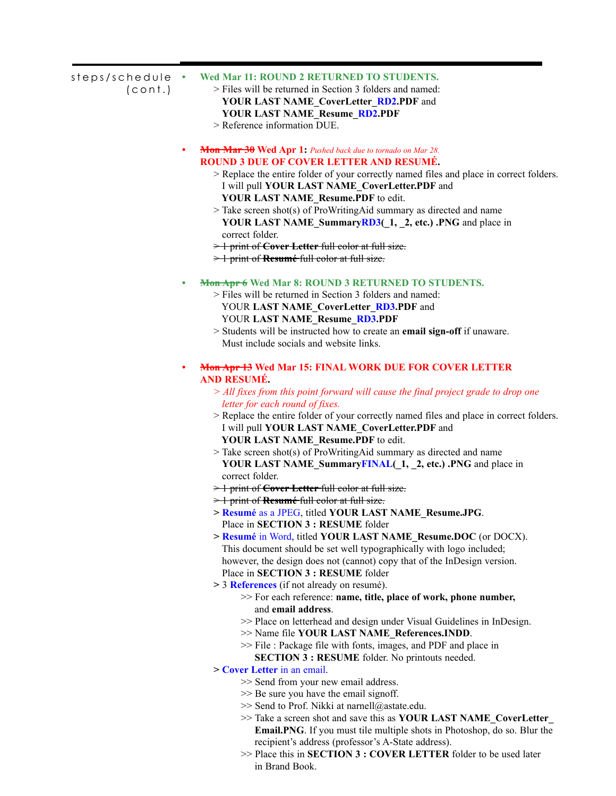| steps/schedule<br>(cont.) | $\bullet$ | Wed Mar 11: ROUND 2 RETURNED TO STUDENTS.<br>> Files will be returned in Section 3 folders and named:<br>YOUR LAST NAME CoverLetter RD2.PDF and<br><b>YOUR LAST NAME_Resume_RD2.PDF</b><br>> Reference information DUE.                                                                                                                                                                                                                 |
|---------------------------|-----------|-----------------------------------------------------------------------------------------------------------------------------------------------------------------------------------------------------------------------------------------------------------------------------------------------------------------------------------------------------------------------------------------------------------------------------------------|
|                           | ٠         | Mon Mar 30 Wed Apr 1: Pushed back due to tornado on Mar 28.<br><b>ROUND 3 DUE OF COVER LETTER AND RESUMÉ.</b><br>> Replace the entire folder of your correctly named files and place in correct folders.<br>I will pull YOUR LAST NAME CoverLetter.PDF and<br>YOUR LAST NAME Resume.PDF to edit.<br>$>$ Take screen shot(s) of ProWritingAid summary as directed and name<br>YOUR LAST NAME_SummaryRD3(1, 1, 2, etc.) .PNG and place in |
|                           |           | correct folder.<br>> 1 print of <b>Cover Letter</b> full color at full size.                                                                                                                                                                                                                                                                                                                                                            |
|                           |           | > 1 print of Resumé full color at full size.                                                                                                                                                                                                                                                                                                                                                                                            |
|                           |           | Mon Apr 6 Wed Mar 8: ROUND 3 RETURNED TO STUDENTS.                                                                                                                                                                                                                                                                                                                                                                                      |
|                           |           | > Files will be returned in Section 3 folders and named:                                                                                                                                                                                                                                                                                                                                                                                |
|                           |           | YOUR LAST NAME_CoverLetter_RD3.PDF and                                                                                                                                                                                                                                                                                                                                                                                                  |
|                           |           | YOUR LAST NAME_Resume_RD3.PDF<br>> Students will be instructed how to create an email sign-off if unaware.                                                                                                                                                                                                                                                                                                                              |
|                           |           | Must include socials and website links.                                                                                                                                                                                                                                                                                                                                                                                                 |
|                           |           |                                                                                                                                                                                                                                                                                                                                                                                                                                         |
|                           | ٠         | <b>Mon Apr 13 Wed Mar 15: FINAL WORK DUE FOR COVER LETTER</b><br>AND RESUMÉ.                                                                                                                                                                                                                                                                                                                                                            |
|                           |           | > All fixes from this point forward will cause the final project grade to drop one                                                                                                                                                                                                                                                                                                                                                      |
|                           |           | letter for each round of fixes.                                                                                                                                                                                                                                                                                                                                                                                                         |
|                           |           | > Replace the entire folder of your correctly named files and place in correct folders.                                                                                                                                                                                                                                                                                                                                                 |
|                           |           | I will pull YOUR LAST NAME CoverLetter.PDF and                                                                                                                                                                                                                                                                                                                                                                                          |
|                           |           | YOUR LAST NAME Resume.PDF to edit.                                                                                                                                                                                                                                                                                                                                                                                                      |
|                           |           | $>$ Take screen shot(s) of ProWritingAid summary as directed and name<br>YOUR LAST NAME_SummaryFINAL(_1, _2, etc.) .PNG and place in                                                                                                                                                                                                                                                                                                    |
|                           |           | correct folder.                                                                                                                                                                                                                                                                                                                                                                                                                         |
|                           |           | $\geq$ 1 print of <b>Cover Letter</b> full color at full size.                                                                                                                                                                                                                                                                                                                                                                          |
|                           |           | $\geq$ 1 print of <b>Resumé</b> full color at full size.                                                                                                                                                                                                                                                                                                                                                                                |
|                           |           | > Resumé as a JPEG, titled YOUR LAST NAME_Resume.JPG.                                                                                                                                                                                                                                                                                                                                                                                   |
|                           |           | Place in SECTION 3 : RESUME folder                                                                                                                                                                                                                                                                                                                                                                                                      |
|                           |           | > Resumé in Word, titled YOUR LAST NAME Resume.DOC (or DOCX).                                                                                                                                                                                                                                                                                                                                                                           |
|                           |           | This document should be set well typographically with logo included;                                                                                                                                                                                                                                                                                                                                                                    |
|                           |           | however, the design does not (cannot) copy that of the InDesign version.                                                                                                                                                                                                                                                                                                                                                                |
|                           |           | Place in SECTION 3 : RESUME folder                                                                                                                                                                                                                                                                                                                                                                                                      |
|                           |           | > 3 <b>References</b> (if not already on resumé).                                                                                                                                                                                                                                                                                                                                                                                       |
|                           |           | >> For each reference: name, title, place of work, phone number,                                                                                                                                                                                                                                                                                                                                                                        |
|                           |           | and email address.                                                                                                                                                                                                                                                                                                                                                                                                                      |
|                           |           | >> Place on letterhead and design under Visual Guidelines in InDesign.                                                                                                                                                                                                                                                                                                                                                                  |
|                           |           | >> Name file YOUR LAST NAME_References.INDD.                                                                                                                                                                                                                                                                                                                                                                                            |
|                           |           | >> File : Package file with fonts, images, and PDF and place in                                                                                                                                                                                                                                                                                                                                                                         |
|                           |           | SECTION 3 : RESUME folder. No printouts needed.                                                                                                                                                                                                                                                                                                                                                                                         |
|                           |           | > Cover Letter in an email.                                                                                                                                                                                                                                                                                                                                                                                                             |
|                           |           | >> Send from your new email address.                                                                                                                                                                                                                                                                                                                                                                                                    |
|                           |           | >> Be sure you have the email signoff.                                                                                                                                                                                                                                                                                                                                                                                                  |
|                           |           | >> Send to Prof. Nikki at narnell@astate.edu.<br>>> Take a screen shot and save this as YOUR LAST NAME_CoverLetter_                                                                                                                                                                                                                                                                                                                     |
|                           |           | <b>Email.PNG</b> . If you must tile multiple shots in Photoshop, do so. Blur the                                                                                                                                                                                                                                                                                                                                                        |
|                           |           | recipient's address (professor's A-State address).                                                                                                                                                                                                                                                                                                                                                                                      |
|                           |           |                                                                                                                                                                                                                                                                                                                                                                                                                                         |

>> Place this in **SECTION 3 : COVER LETTER** folder to be used later in Brand Book.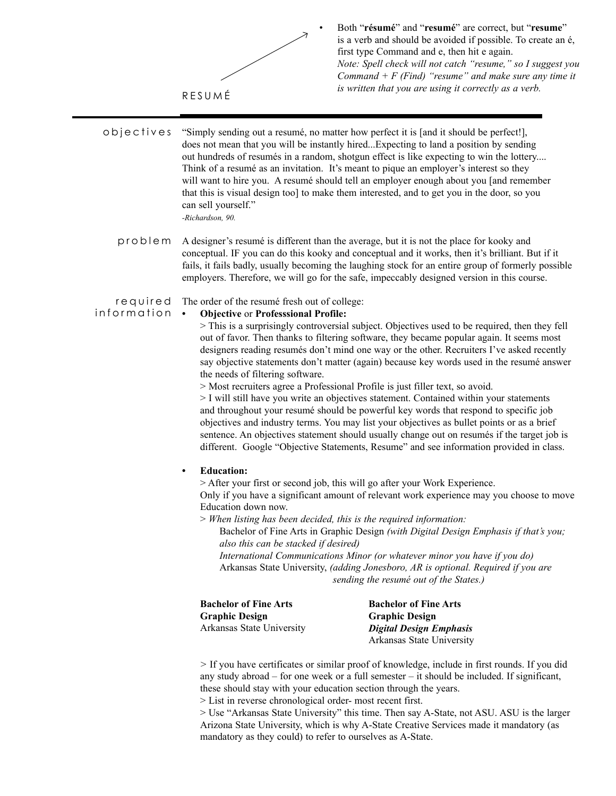

• Both "**résumé**" and "**resumé**" are correct, but "**resume**" is a verb and should be avoided if possible. To create an é, first type Command and e, then hit e again. *Note: Spell check will not catch "resume," so I suggest you Command + F (Find) "resume" and make sure any time it is written that you are using it correctly as a verb.* 

"Simply sending out a resumé, no matter how perfect it is [and it should be perfect!], does not mean that you will be instantly hired...Expecting to land a position by sending out hundreds of resumés in a random, shotgun effect is like expecting to win the lottery.... Think of a resumé as an invitation. It's meant to pique an employer's interest so they will want to hire you. A resumé should tell an employer enough about you [and remember that this is visual design too] to make them interested, and to get you in the door, so you can sell yourself." *-Richardson, 90.* objectives

A designer's resumé is different than the average, but it is not the place for kooky and conceptual. IF you can do this kooky and conceptual and it works, then it's brilliant. But if it fails, it fails badly, usually becoming the laughing stock for an entire group of formerly possible employers. Therefore, we will go for the safe, impeccably designed version in this course. problem

The order of the resumé fresh out of college: r e q u i r e d

information

# **• Objective** or **Professsional Profile:**

> This is a surprisingly controversial subject. Objectives used to be required, then they fell out of favor. Then thanks to filtering software, they became popular again. It seems most designers reading resumés don't mind one way or the other. Recruiters I've asked recently say objective statements don't matter (again) because key words used in the resumé answer the needs of filtering software.

> Most recruiters agree a Professional Profile is just filler text, so avoid.

> I will still have you write an objectives statement. Contained within your statements and throughout your resumé should be powerful key words that respond to specific job objectives and industry terms. You may list your objectives as bullet points or as a brief sentence. An objectives statement should usually change out on resumés if the target job is different. Google "Objective Statements, Resume" and see information provided in class.

## **• Education:**

> After your first or second job, this will go after your Work Experience. Only if you have a significant amount of relevant work experience may you choose to move Education down now.

> *When listing has been decided, this is the required information:*

Bachelor of Fine Arts in Graphic Design *(with Digital Design Emphasis if that's you; also this can be stacked if desired)*

 *International Communications Minor (or whatever minor you have if you do)* Arkansas State University, *(adding Jonesboro, AR is optional. Required if you are sending the resumé out of the States.)*

| <b>Bachelor of Fine Arts</b> | <b>Bachelor of Fine Arts</b> |  |  |
|------------------------------|------------------------------|--|--|
| <b>Graphic Design</b>        | <b>Graphic Design</b>        |  |  |
| Arkansas State University    | Digital Design Emphasis      |  |  |
|                              | Arkansas State University    |  |  |

*>* If you have certificates or similar proof of knowledge, include in first rounds. If you did any study abroad – for one week or a full semester – it should be included. If significant, these should stay with your education section through the years.

> List in reverse chronological order- most recent first.

> Use "Arkansas State University" this time. Then say A-State, not ASU. ASU is the larger Arizona State University, which is why A-State Creative Services made it mandatory (as mandatory as they could) to refer to ourselves as A-State.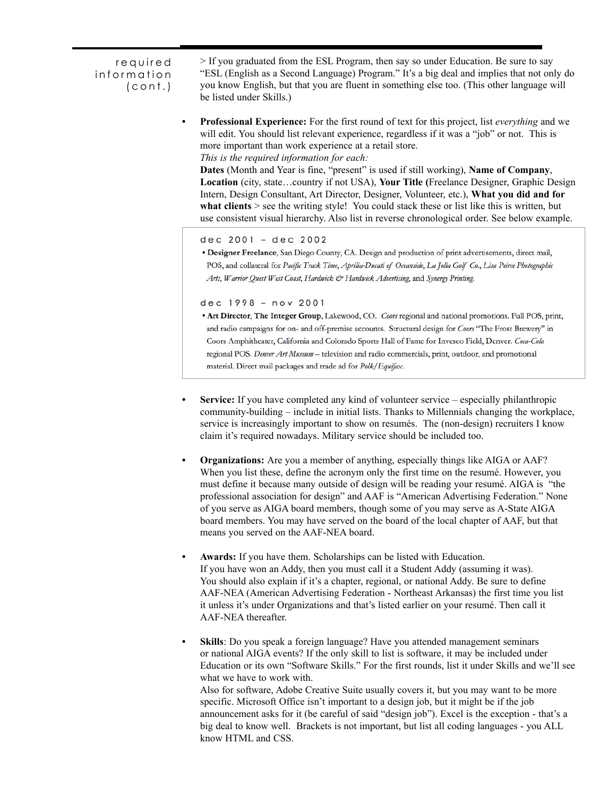required information (cont.)

> If you graduated from the ESL Program, then say so under Education. Be sure to say "ESL (English as a Second Language) Program." It's a big deal and implies that not only do you know English, but that you are fluent in something else too. (This other language will be listed under Skills.)

**• Professional Experience:** For the first round of text for this project, list *everything* and we will edit. You should list relevant experience, regardless if it was a "job" or not. This is more important than work experience at a retail store. *This is the required information for each:*

**Dates** (Month and Year is fine, "present" is used if still working), **Name of Company**, **Location** (city, state…country if not USA), **Your Title (**Freelance Designer, Graphic Design Intern, Design Consultant, Art Director, Designer, Volunteer, etc.), **What you did and for**  what clients  $>$  see the writing style! You could stack these or list like this is written, but use consistent visual hierarchy. Also list in reverse chronological order. See below example.

dec 2001 - dec 2002

· Designer Freelance, San Diego County, CA. Design and production of print advertisements, direct mail, POS, and collateral for Pacific Track Time, Aprilia-Ducati of Oceanside, La Jolla Golf Co., Lisa Peirce Photographic Arts, Warrior Quest West Coast, Hardwick & Hardwick Advertising, and Synergy Printing.

dec 1998 - nov 2001

- . Art Director, The Integer Group, Lakewood, CO. Coors regional and national promotions. Full POS, print, and radio campaigns for on- and off-premise accounts. Structural design for Coors "The Frost Brewery" in Coors Amphitheater, California and Colorado Sports Hall of Fame for Invesco Field, Denver. Coca-Cola regional POS. Denver Art Museum - television and radio commercials, print, outdoor, and promotional material. Direct mail packages and trade ad for Polk/Equifax.
- **• Service:** If you have completed any kind of volunteer service especially philanthropic community-building – include in initial lists. Thanks to Millennials changing the workplace, service is increasingly important to show on resumés. The (non-design) recruiters I know claim it's required nowadays. Military service should be included too.
- **Organizations:** Are you a member of anything, especially things like AIGA or AAF? When you list these, define the acronym only the first time on the resumé. However, you must define it because many outside of design will be reading your resumé. AIGA is "the professional association for design" and AAF is "American Advertising Federation." None of you serve as AIGA board members, though some of you may serve as A-State AIGA board members. You may have served on the board of the local chapter of AAF, but that means you served on the AAF-NEA board.
- **• Awards:** If you have them. Scholarships can be listed with Education. If you have won an Addy, then you must call it a Student Addy (assuming it was). You should also explain if it's a chapter, regional, or national Addy. Be sure to define AAF-NEA (American Advertising Federation - Northeast Arkansas) the first time you list it unless it's under Organizations and that's listed earlier on your resumé. Then call it AAF-NEA thereafter.
- **• Skills**: Do you speak a foreign language? Have you attended management seminars or national AIGA events? If the only skill to list is software, it may be included under Education or its own "Software Skills." For the first rounds, list it under Skills and we'll see what we have to work with. Also for software, Adobe Creative Suite usually covers it, but you may want to be more

specific. Microsoft Office isn't important to a design job, but it might be if the job announcement asks for it (be careful of said "design job"). Excel is the exception - that's a big deal to know well. Brackets is not important, but list all coding languages - you ALL know HTML and CSS.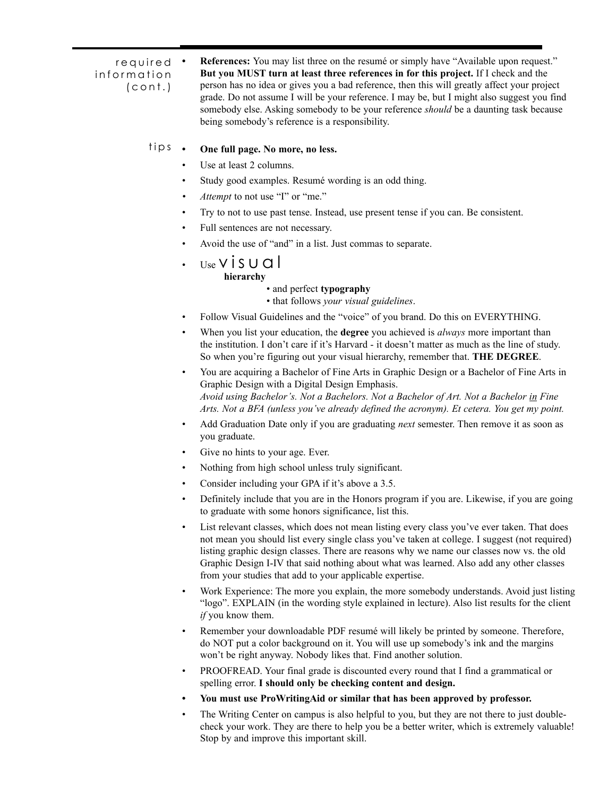required information (cont.)

**• References:** You may list three on the resumé or simply have "Available upon request." **But you MUST turn at least three references in for this project.** If I check and the person has no idea or gives you a bad reference, then this will greatly affect your project grade. Do not assume I will be your reference. I may be, but I might also suggest you find somebody else. Asking somebody to be your reference *should* be a daunting task because being somebody's reference is a responsibility.

#### **• One full page. No more, no less.** tips.

- Use at least 2 columns.
- Study good examples. Resumé wording is an odd thing.
- *Attempt* to not use "I" or "me."
- Try to not to use past tense. Instead, use present tense if you can. Be consistent.
- Full sentences are not necessary.
- Avoid the use of "and" in a list. Just commas to separate.
- $Use VISUCl$ 
	- **hierarchy**

# • and perfect **typography**

• that follows *your visual guidelines*.

- Follow Visual Guidelines and the "voice" of you brand. Do this on EVERYTHING.
- When you list your education, the **degree** you achieved is *always* more important than the institution. I don't care if it's Harvard - it doesn't matter as much as the line of study. So when you're figuring out your visual hierarchy, remember that. **THE DEGREE**.
- You are acquiring a Bachelor of Fine Arts in Graphic Design or a Bachelor of Fine Arts in Graphic Design with a Digital Design Emphasis. *Avoid using Bachelor's. Not a Bachelors. Not a Bachelor of Art. Not a Bachelor in Fine Arts. Not a BFA (unless you've already defined the acronym). Et cetera. You get my point.*
- Add Graduation Date only if you are graduating *next* semester. Then remove it as soon as you graduate.
- Give no hints to your age. Ever.
- Nothing from high school unless truly significant.
- Consider including your GPA if it's above a 3.5.
- Definitely include that you are in the Honors program if you are. Likewise, if you are going to graduate with some honors significance, list this.
- List relevant classes, which does not mean listing every class you've ever taken. That does not mean you should list every single class you've taken at college. I suggest (not required) listing graphic design classes. There are reasons why we name our classes now vs. the old Graphic Design I-IV that said nothing about what was learned. Also add any other classes from your studies that add to your applicable expertise.
- Work Experience: The more you explain, the more somebody understands. Avoid just listing "logo". EXPLAIN (in the wording style explained in lecture). Also list results for the client *if* you know them.
- Remember your downloadable PDF resumé will likely be printed by someone. Therefore, do NOT put a color background on it. You will use up somebody's ink and the margins won't be right anyway. Nobody likes that. Find another solution.
- PROOFREAD. Your final grade is discounted every round that I find a grammatical or spelling error. **I should only be checking content and design.**
- **• You must use ProWritingAid or similar that has been approved by professor.**
- The Writing Center on campus is also helpful to you, but they are not there to just doublecheck your work. They are there to help you be a better writer, which is extremely valuable! Stop by and improve this important skill.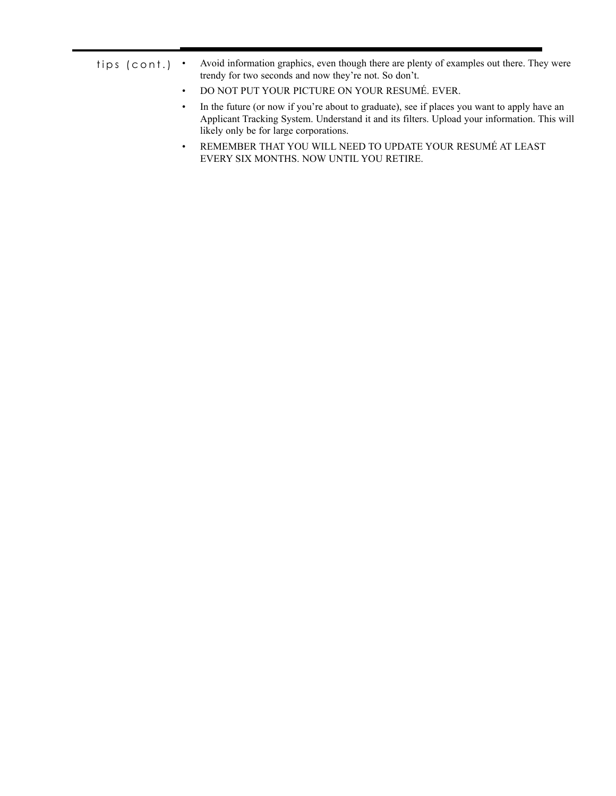| tips (cont.) $\cdot$ | Avoid information graphics, even though there are plenty of examples out there. They were |
|----------------------|-------------------------------------------------------------------------------------------|
|                      | trendy for two seconds and now they're not. So don't.                                     |

- DO NOT PUT YOUR PICTURE ON YOUR RESUMÉ. EVER.
- In the future (or now if you're about to graduate), see if places you want to apply have an Applicant Tracking System. Understand it and its filters. Upload your information. This will likely only be for large corporations.
- REMEMBER THAT YOU WILL NEED TO UPDATE YOUR RESUMÉ AT LEAST EVERY SIX MONTHS. NOW UNTIL YOU RETIRE.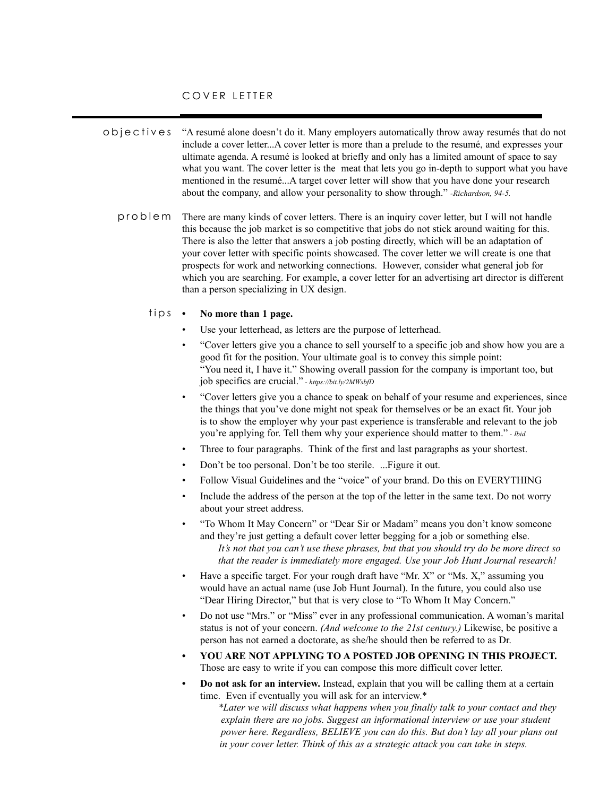### COVER LETTER

"A resumé alone doesn't do it. Many employers automatically throw away resumés that do not include a cover letter...A cover letter is more than a prelude to the resumé, and expresses your ultimate agenda. A resumé is looked at briefly and only has a limited amount of space to say what you want. The cover letter is the meat that lets you go in-depth to support what you have mentioned in the resumé...A target cover letter will show that you have done your research about the company, and allow your personality to show through." *-Richardson, 94-5.* objectives

There are many kinds of cover letters. There is an inquiry cover letter, but I will not handle this because the job market is so competitive that jobs do not stick around waiting for this. There is also the letter that answers a job posting directly, which will be an adaptation of your cover letter with specific points showcased. The cover letter we will create is one that prospects for work and networking connections. However, consider what general job for which you are searching. For example, a cover letter for an advertising art director is different than a person specializing in UX design. problem

#### **• No more than 1 page.** tips

- Use your letterhead, as letters are the purpose of letterhead.
- "Cover letters give you a chance to sell yourself to a specific job and show how you are a good fit for the position. Your ultimate goal is to convey this simple point: "You need it, I have it." Showing overall passion for the company is important too, but job specifics are crucial." *- https://bit.ly/2MWsbfD*
- "Cover letters give you a chance to speak on behalf of your resume and experiences, since the things that you've done might not speak for themselves or be an exact fit. Your job is to show the employer why your past experience is transferable and relevant to the job you're applying for. Tell them why your experience should matter to them." *- Ibid.*
- Three to four paragraphs. Think of the first and last paragraphs as your shortest.
- Don't be too personal. Don't be too sterile. ...Figure it out.
- Follow Visual Guidelines and the "voice" of your brand. Do this on EVERYTHING
- Include the address of the person at the top of the letter in the same text. Do not worry about your street address.
- "To Whom It May Concern" or "Dear Sir or Madam" means you don't know someone and they're just getting a default cover letter begging for a job or something else. *It's not that you can't use these phrases, but that you should try do be more direct so that the reader is immediately more engaged. Use your Job Hunt Journal research!*
- Have a specific target. For your rough draft have "Mr.  $X$ " or "Ms.  $X$ ," assuming you would have an actual name (use Job Hunt Journal). In the future, you could also use "Dear Hiring Director," but that is very close to "To Whom It May Concern."
- Do not use "Mrs." or "Miss" ever in any professional communication. A woman's marital status is not of your concern. *(And welcome to the 21st century.)* Likewise, be positive a person has not earned a doctorate, as she/he should then be referred to as Dr.
- **• YOU ARE NOT APPLYING TO A POSTED JOB OPENING IN THIS PROJECT.**  Those are easy to write if you can compose this more difficult cover letter.
- **• Do not ask for an interview.** Instead, explain that you will be calling them at a certain time. Even if eventually you will ask for an interview.\*

*\*Later we will discuss what happens when you finally talk to your contact and they explain there are no jobs. Suggest an informational interview or use your student power here. Regardless, BELIEVE you can do this. But don't lay all your plans out in your cover letter. Think of this as a strategic attack you can take in steps.*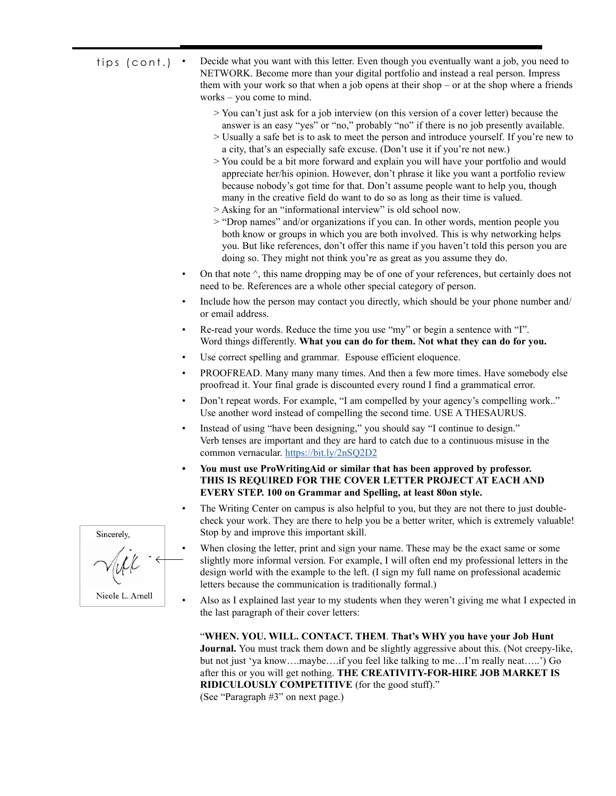- Decide what you want with this letter. Even though you eventually want a job, you need to NETWORK. Become more than your digital portfolio and instead a real person. Impress them with your work so that when a job opens at their shop – or at the shop where a friends works – you come to mind. tips (cont.)
	- > You can't just ask for a job interview (on this version of a cover letter) because the answer is an easy "yes" or "no," probably "no" if there is no job presently available.
	- > Usually a safe bet is to ask to meet the person and introduce yourself. If you're new to a city, that's an especially safe excuse. (Don't use it if you're not new.)
	- > You could be a bit more forward and explain you will have your portfolio and would appreciate her/his opinion. However, don't phrase it like you want a portfolio review because nobody's got time for that. Don't assume people want to help you, though many in the creative field do want to do so as long as their time is valued.
	- > Asking for an "informational interview" is old school now.
	- > "Drop names" and/or organizations if you can. In other words, mention people you both know or groups in which you are both involved. This is why networking helps you. But like references, don't offer this name if you haven't told this person you are doing so. They might not think you're as great as you assume they do.
	- On that note  $\hat{\ }$ , this name dropping may be of one of your references, but certainly does not need to be. References are a whole other special category of person.
	- Include how the person may contact you directly, which should be your phone number and/ or email address.
	- Re-read your words. Reduce the time you use "my" or begin a sentence with "I". Word things differently. **What you can do for them. Not what they can do for you.**
	- Use correct spelling and grammar. Espouse efficient eloquence.
	- PROOFREAD. Many many many times. And then a few more times. Have somebody else proofread it. Your final grade is discounted every round I find a grammatical error.
	- Don't repeat words. For example, "I am compelled by your agency's compelling work.." Use another word instead of compelling the second time. USE A THESAURUS.
	- Instead of using "have been designing," you should say "I continue to design." Verb tenses are important and they are hard to catch due to a continuous misuse in the common vernacular. <https://bit.ly/2nSQ2D2>
	- **• You must use ProWritingAid or similar that has been approved by professor. THIS IS REQUIRED FOR THE COVER LETTER PROJECT AT EACH AND EVERY STEP. 100 on Grammar and Spelling, at least 80on style.**
	- The Writing Center on campus is also helpful to you, but they are not there to just doublecheck your work. They are there to help you be a better writer, which is extremely valuable! Stop by and improve this important skill.
		- When closing the letter, print and sign your name. These may be the exact same or some slightly more informal version. For example, I will often end my professional letters in the design world with the example to the left. (I sign my full name on professional academic letters because the communication is traditionally formal.)
	- Also as I explained last year to my students when they weren't giving me what I expected in the last paragraph of their cover letters:

"**WHEN. YOU. WILL. CONTACT. THEM**. **That's WHY you have your Job Hunt Journal.** You must track them down and be slightly aggressive about this. (Not creepy-like, but not just 'ya know….maybe….if you feel like talking to me…I'm really neat…..') Go after this or you will get nothing. **THE CREATIVITY-FOR-HIRE JOB MARKET IS RIDICULOUSLY COMPETITIVE** (for the good stuff)." (See "Paragraph #3" on next page.)